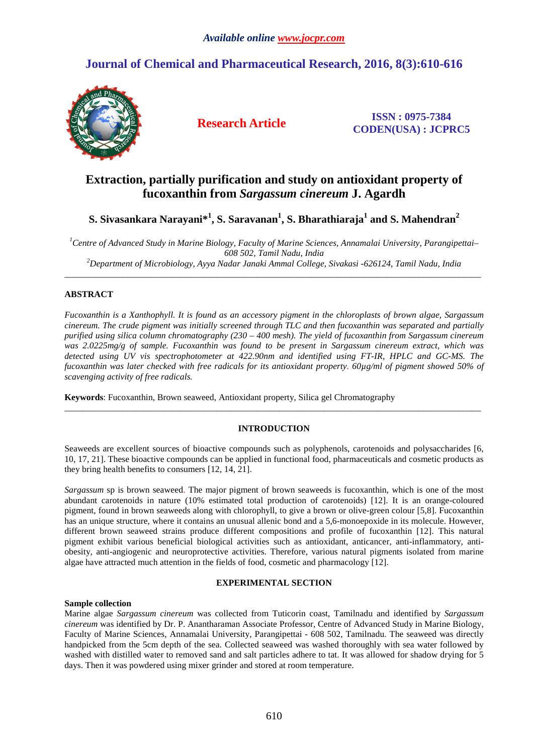# **Journal of Chemical and Pharmaceutical Research, 2016, 8(3):610-616**



**Research Article ISSN : 0975-7384 CODEN(USA) : JCPRC5**

# **Extraction, partially purification and study on antioxidant property of fucoxanthin from** *Sargassum cinereum* **J. Agardh**

# **S. Sivasankara Narayani\*<sup>1</sup> , S. Saravanan<sup>1</sup> , S. Bharathiaraja<sup>1</sup> and S. Mahendran<sup>2</sup>**

*<sup>1</sup>Centre of Advanced Study in Marine Biology, Faculty of Marine Sciences, Annamalai University, Parangipettai– 608 502, Tamil Nadu, India <sup>2</sup>Department of Microbiology, Ayya Nadar Janaki Ammal College, Sivakasi -626124, Tamil Nadu, India* 

 $\overline{a}$  , and the contribution of the contribution of the contribution of the contribution of the contribution of the contribution of the contribution of the contribution of the contribution of the contribution of the co

# **ABSTRACT**

*Fucoxanthin is a Xanthophyll. It is found as an accessory pigment in the chloroplasts of brown algae, Sargassum cinereum. The crude pigment was initially screened through TLC and then fucoxanthin was separated and partially purified using silica column chromatography (230 – 400 mesh). The yield of fucoxanthin from Sargassum cinereum was 2.0225mg/g of sample. Fucoxanthin was found to be present in Sargassum cinereum extract, which was detected using UV vis spectrophotometer at 422.90nm and identified using FT-IR, HPLC and GC-MS. The fucoxanthin was later checked with free radicals for its antioxidant property. 60µg/ml of pigment showed 50% of scavenging activity of free radicals.* 

**Keywords**: Fucoxanthin, Brown seaweed, Antioxidant property, Silica gel Chromatography

# **INTRODUCTION**

\_\_\_\_\_\_\_\_\_\_\_\_\_\_\_\_\_\_\_\_\_\_\_\_\_\_\_\_\_\_\_\_\_\_\_\_\_\_\_\_\_\_\_\_\_\_\_\_\_\_\_\_\_\_\_\_\_\_\_\_\_\_\_\_\_\_\_\_\_\_\_\_\_\_\_\_\_\_\_\_\_\_\_\_\_\_\_\_\_\_\_\_\_

Seaweeds are excellent sources of bioactive compounds such as polyphenols, carotenoids and polysaccharides [6, 10, 17, 21]. These bioactive compounds can be applied in functional food, pharmaceuticals and cosmetic products as they bring health benefits to consumers [12, 14, 21].

*Sargassum* sp is brown seaweed. The major pigment of brown seaweeds is fucoxanthin, which is one of the most abundant carotenoids in nature (10% estimated total production of carotenoids) [12]. It is an orange-coloured pigment, found in brown seaweeds along with chlorophyll, to give a brown or olive-green colour [5,8]. Fucoxanthin has an unique structure, where it contains an unusual allenic bond and a 5,6-monoepoxide in its molecule. However, different brown seaweed strains produce different compositions and profile of fucoxanthin [12]. This natural pigment exhibit various beneficial biological activities such as antioxidant, anticancer, anti-inflammatory, antiobesity, anti-angiogenic and neuroprotective activities. Therefore, various natural pigments isolated from marine algae have attracted much attention in the fields of food, cosmetic and pharmacology [12].

# **EXPERIMENTAL SECTION**

# **Sample collection**

Marine algae *Sargassum cinereum* was collected from Tuticorin coast, Tamilnadu and identified by *Sargassum cinereum* was identified by Dr. P. Anantharaman Associate Professor, Centre of Advanced Study in Marine Biology, Faculty of Marine Sciences, Annamalai University, Parangipettai - 608 502, Tamilnadu. The seaweed was directly handpicked from the 5cm depth of the sea. Collected seaweed was washed thoroughly with sea water followed by washed with distilled water to removed sand and salt particles adhere to tat. It was allowed for shadow drying for 5 days. Then it was powdered using mixer grinder and stored at room temperature.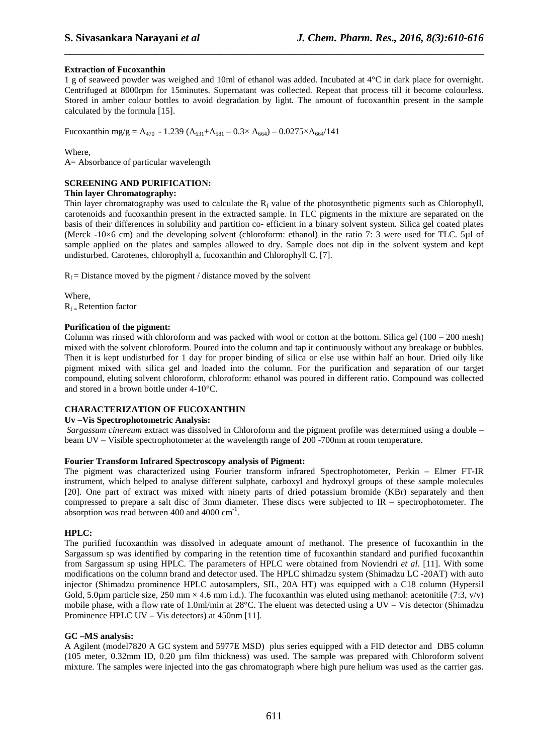# **Extraction of Fucoxanthin**

1 g of seaweed powder was weighed and 10ml of ethanol was added. Incubated at 4°C in dark place for overnight. Centrifuged at 8000rpm for 15minutes. Supernatant was collected. Repeat that process till it become colourless. Stored in amber colour bottles to avoid degradation by light. The amount of fucoxanthin present in the sample calculated by the formula [15].

\_\_\_\_\_\_\_\_\_\_\_\_\_\_\_\_\_\_\_\_\_\_\_\_\_\_\_\_\_\_\_\_\_\_\_\_\_\_\_\_\_\_\_\_\_\_\_\_\_\_\_\_\_\_\_\_\_\_\_\_\_\_\_\_\_\_\_\_\_\_\_\_\_\_\_\_\_\_

Fucoxanthin mg/g = A<sub>470</sub> - 1.239 (A<sub>631</sub>+A<sub>581</sub> – 0.3× A<sub>664</sub>) – 0.0275×A<sub>664</sub>/141

#### Where,

A= Absorbance of particular wavelength

# **SCREENING AND PURIFICATION:**

#### **Thin layer Chromatography:**

Thin layer chromatography was used to calculate the  $R_f$  value of the photosynthetic pigments such as Chlorophyll, carotenoids and fucoxanthin present in the extracted sample. In TLC pigments in the mixture are separated on the basis of their differences in solubility and partition co- efficient in a binary solvent system. Silica gel coated plates (Merck -10×6 cm) and the developing solvent (chloroform: ethanol) in the ratio 7: 3 were used for TLC. 5µl of sample applied on the plates and samples allowed to dry. Sample does not dip in the solvent system and kept undisturbed. Carotenes, chlorophyll a, fucoxanthin and Chlorophyll C. [7].

 $R_f$  = Distance moved by the pigment / distance moved by the solvent

Where,  $R_f$  – Retention factor

#### **Purification of the pigment:**

Column was rinsed with chloroform and was packed with wool or cotton at the bottom. Silica gel  $(100 - 200 \text{ mesh})$ mixed with the solvent chloroform. Poured into the column and tap it continuously without any breakage or bubbles. Then it is kept undisturbed for 1 day for proper binding of silica or else use within half an hour. Dried oily like pigment mixed with silica gel and loaded into the column. For the purification and separation of our target compound, eluting solvent chloroform, chloroform: ethanol was poured in different ratio. Compound was collected and stored in a brown bottle under 4-10°C.

# **CHARACTERIZATION OF FUCOXANTHIN**

# **Uv –Vis Spectrophotometric Analysis:**

*Sargassum cinereum* extract was dissolved in Chloroform and the pigment profile was determined using a double – beam UV – Visible spectrophotometer at the wavelength range of 200 -700nm at room temperature.

# **Fourier Transform Infrared Spectroscopy analysis of Pigment:**

The pigment was characterized using Fourier transform infrared Spectrophotometer, Perkin – Elmer FT-IR instrument, which helped to analyse different sulphate, carboxyl and hydroxyl groups of these sample molecules [20]. One part of extract was mixed with ninety parts of dried potassium bromide (KBr) separately and then compressed to prepare a salt disc of 3mm diameter. These discs were subjected to IR – spectrophotometer. The absorption was read between 400 and 4000  $cm^{-1}$ .

# **HPLC:**

The purified fucoxanthin was dissolved in adequate amount of methanol. The presence of fucoxanthin in the Sargassum sp was identified by comparing in the retention time of fucoxanthin standard and purified fucoxanthin from Sargassum sp using HPLC. The parameters of HPLC were obtained from Noviendri *et al*. [11]. With some modifications on the column brand and detector used. The HPLC shimadzu system (Shimadzu LC -20AT) with auto injector (Shimadzu prominence HPLC autosamplers, SIL, 20A HT) was equipped with a C18 column (Hypersil Gold, 5.0µm particle size, 250 mm  $\times$  4.6 mm i.d.). The fucoxanthin was eluted using methanol: acetonitile (7:3, v/v) mobile phase, with a flow rate of 1.0ml/min at 28°C. The eluent was detected using a UV – Vis detector (Shimadzu Prominence HPLC UV – Vis detectors) at 450nm [11].

# **GC –MS analysis:**

A Agilent (model7820 A GC system and 5977E MSD) plus series equipped with a FID detector and DB5 column (105 meter, 0.32mm ID, 0.20 µm film thickness) was used. The sample was prepared with Chloroform solvent mixture. The samples were injected into the gas chromatograph where high pure helium was used as the carrier gas.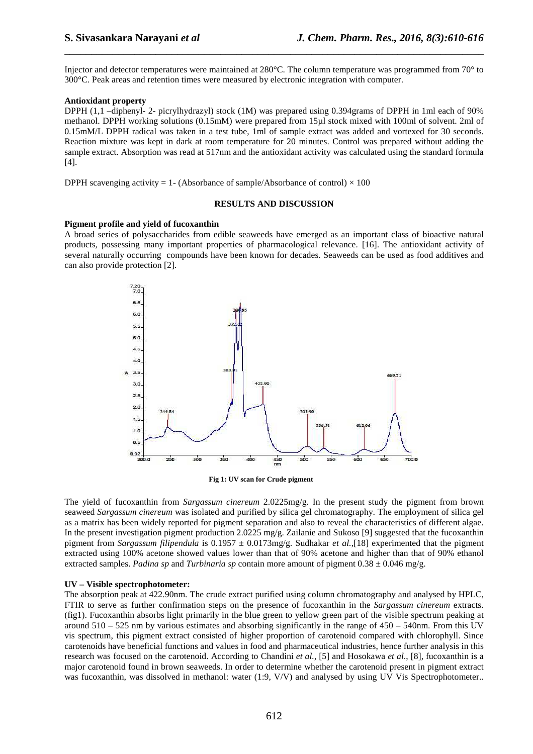Injector and detector temperatures were maintained at 280°C. The column temperature was programmed from 70° to 300°C. Peak areas and retention times were measured by electronic integration with computer.

\_\_\_\_\_\_\_\_\_\_\_\_\_\_\_\_\_\_\_\_\_\_\_\_\_\_\_\_\_\_\_\_\_\_\_\_\_\_\_\_\_\_\_\_\_\_\_\_\_\_\_\_\_\_\_\_\_\_\_\_\_\_\_\_\_\_\_\_\_\_\_\_\_\_\_\_\_\_

#### **Antioxidant property**

DPPH (1,1 –diphenyl- 2- picrylhydrazyl) stock (1M) was prepared using 0.394grams of DPPH in 1ml each of 90% methanol. DPPH working solutions (0.15mM) were prepared from 15µl stock mixed with 100ml of solvent. 2ml of 0.15mM/L DPPH radical was taken in a test tube, 1ml of sample extract was added and vortexed for 30 seconds. Reaction mixture was kept in dark at room temperature for 20 minutes. Control was prepared without adding the sample extract. Absorption was read at 517nm and the antioxidant activity was calculated using the standard formula [4].

DPPH scavenging activity = 1- (Absorbance of sample/Absorbance of control)  $\times$  100

#### **RESULTS AND DISCUSSION**

#### **Pigment profile and yield of fucoxanthin**

A broad series of polysaccharides from edible seaweeds have emerged as an important class of bioactive natural products, possessing many important properties of pharmacological relevance. [16]. The antioxidant activity of several naturally occurring compounds have been known for decades. Seaweeds can be used as food additives and can also provide protection [2].



**Fig 1: UV scan for Crude pigment** 

The yield of fucoxanthin from *Sargassum cinereum* 2.0225mg/g. In the present study the pigment from brown seaweed *Sargassum cinereum* was isolated and purified by silica gel chromatography. The employment of silica gel as a matrix has been widely reported for pigment separation and also to reveal the characteristics of different algae. In the present investigation pigment production 2.0225 mg/g. Zailanie and Sukoso [9] suggested that the fucoxanthin pigment from *Sargassum filipendula* is 0.1957 ± 0.0173mg/g. Sudhakar *et al.,*[18] experimented that the pigment extracted using 100% acetone showed values lower than that of 90% acetone and higher than that of 90% ethanol extracted samples. *Padina sp* and *Turbinaria sp* contain more amount of pigment  $0.38 \pm 0.046$  mg/g.

#### **UV – Visible spectrophotometer:**

The absorption peak at 422.90nm. The crude extract purified using column chromatography and analysed by HPLC, FTIR to serve as further confirmation steps on the presence of fucoxanthin in the *Sargassum cinereum* extracts. (fig1). Fucoxanthin absorbs light primarily in the blue green to yellow green part of the visible spectrum peaking at around  $510 - 525$  nm by various estimates and absorbing significantly in the range of  $450 - 540$ nm. From this UV vis spectrum, this pigment extract consisted of higher proportion of carotenoid compared with chlorophyll. Since carotenoids have beneficial functions and values in food and pharmaceutical industries, hence further analysis in this research was focused on the carotenoid. According to Chandini *et al.,* [5] and Hosokawa *et al*., [8], fucoxanthin is a major carotenoid found in brown seaweeds. In order to determine whether the carotenoid present in pigment extract was fucoxanthin, was dissolved in methanol: water (1:9, V/V) and analysed by using UV Vis Spectrophotometer..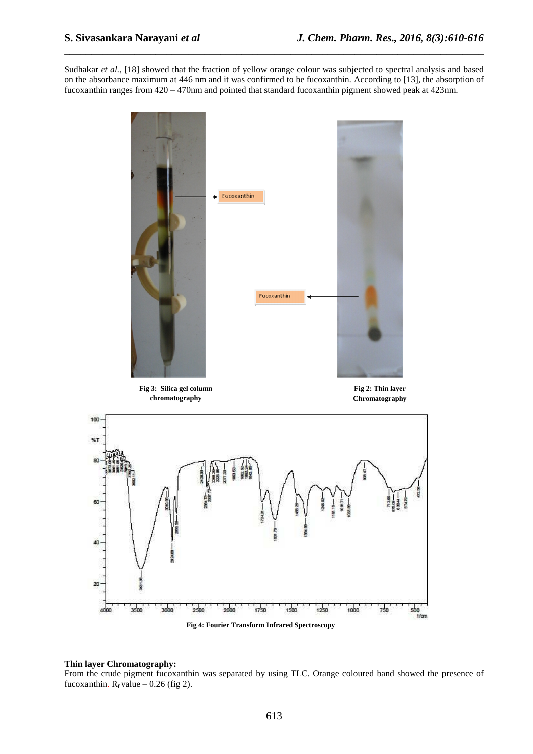Sudhakar *et al.,* [18] showed that the fraction of yellow orange colour was subjected to spectral analysis and based on the absorbance maximum at 446 nm and it was confirmed to be fucoxanthin. According to [13], the absorption of fucoxanthin ranges from 420 – 470nm and pointed that standard fucoxanthin pigment showed peak at 423nm.

\_\_\_\_\_\_\_\_\_\_\_\_\_\_\_\_\_\_\_\_\_\_\_\_\_\_\_\_\_\_\_\_\_\_\_\_\_\_\_\_\_\_\_\_\_\_\_\_\_\_\_\_\_\_\_\_\_\_\_\_\_\_\_\_\_\_\_\_\_\_\_\_\_\_\_\_\_\_



**Fig 4: Fourier Transform Infrared Spectroscopy** 

#### **Thin layer Chromatography:**

From the crude pigment fucoxanthin was separated by using TLC. Orange coloured band showed the presence of fucoxanthin.  $R_f$  value – 0.26 (fig 2).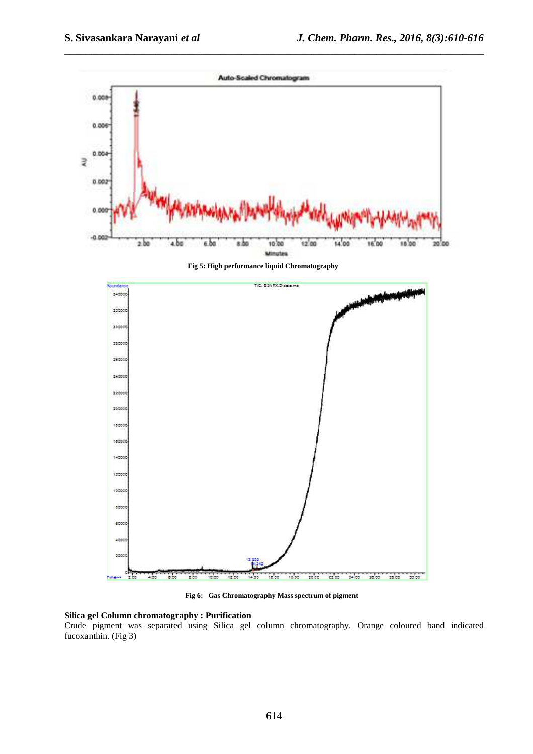

\_\_\_\_\_\_\_\_\_\_\_\_\_\_\_\_\_\_\_\_\_\_\_\_\_\_\_\_\_\_\_\_\_\_\_\_\_\_\_\_\_\_\_\_\_\_\_\_\_\_\_\_\_\_\_\_\_\_\_\_\_\_\_\_\_\_\_\_\_\_\_\_\_\_\_\_\_\_

**Fig 6: Gas Chromatography Mass spectrum of pigment** 

#### **Silica gel Column chromatography : Purification**

Crude pigment was separated using Silica gel column chromatography. Orange coloured band indicated fucoxanthin. (Fig 3)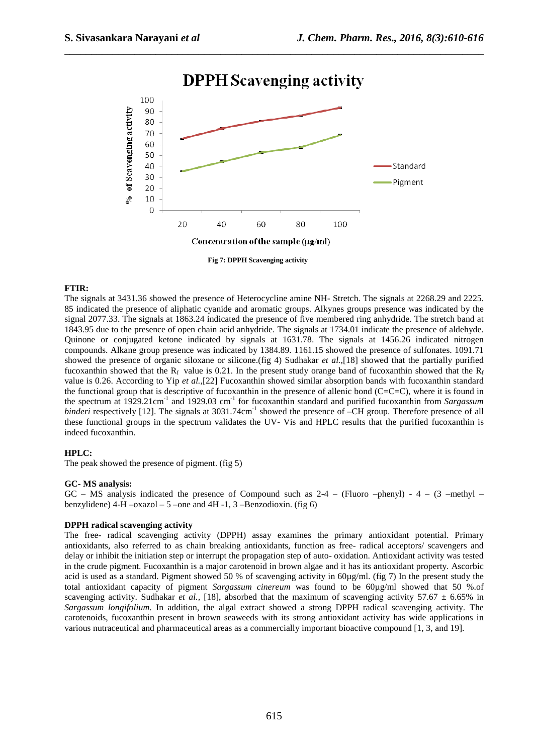

# **DPPH** Scavenging activity

\_\_\_\_\_\_\_\_\_\_\_\_\_\_\_\_\_\_\_\_\_\_\_\_\_\_\_\_\_\_\_\_\_\_\_\_\_\_\_\_\_\_\_\_\_\_\_\_\_\_\_\_\_\_\_\_\_\_\_\_\_\_\_\_\_\_\_\_\_\_\_\_\_\_\_\_\_\_

**Fig 7: DPPH Scavenging activity** 

#### **FTIR:**

The signals at 3431.36 showed the presence of Heterocycline amine NH- Stretch. The signals at 2268.29 and 2225. 85 indicated the presence of aliphatic cyanide and aromatic groups. Alkynes groups presence was indicated by the signal 2077.33. The signals at 1863.24 indicated the presence of five membered ring anhydride. The stretch band at 1843.95 due to the presence of open chain acid anhydride. The signals at 1734.01 indicate the presence of aldehyde. Quinone or conjugated ketone indicated by signals at 1631.78. The signals at 1456.26 indicated nitrogen compounds. Alkane group presence was indicated by 1384.89. 1161.15 showed the presence of sulfonates. 1091.71 showed the presence of organic siloxane or silicone.(fig 4) Sudhakar *et al.,*[18] showed that the partially purified fucoxanthin showed that the R<sub>f</sub> value is 0.21. In the present study orange band of fucoxanthin showed that the R<sub>f</sub> value is 0.26. According to Yip *et al.,*[22] Fucoxanthin showed similar absorption bands with fucoxanthin standard the functional group that is descriptive of fucoxanthin in the presence of allenic bond (C=C=C), where it is found in the spectrum at 1929.21cm-1 and 1929.03 cm-1 for fucoxanthin standard and purified fucoxanthin from *Sargassum binderi* respectively [12]. The signals at 3031.74cm<sup>-1</sup> showed the presence of –CH group. Therefore presence of all these functional groups in the spectrum validates the UV- Vis and HPLC results that the purified fucoxanthin is indeed fucoxanthin.

# **HPLC:**

The peak showed the presence of pigment. (fig 5)

#### **GC- MS analysis:**

 $GC - MS$  analysis indicated the presence of Compound such as  $2-4 - (Fluoro -phenyl) - 4 - (3 -methyl - 4)$ benzylidene)  $4-H -oxazol - 5$  –one and  $4H -1$ ,  $3$  –Benzodioxin. (fig 6)

# **DPPH radical scavenging activity**

The free- radical scavenging activity (DPPH) assay examines the primary antioxidant potential. Primary antioxidants, also referred to as chain breaking antioxidants, function as free- radical acceptors/ scavengers and delay or inhibit the initiation step or interrupt the propagation step of auto- oxidation. Antioxidant activity was tested in the crude pigment. Fucoxanthin is a major carotenoid in brown algae and it has its antioxidant property. Ascorbic acid is used as a standard. Pigment showed 50 % of scavenging activity in 60µg/ml. (fig 7) In the present study the total antioxidant capacity of pigment *Sargassum cinereum* was found to be 60µg/ml showed that 50 %.of scavenging activity. Sudhakar *et al.*, [18], absorbed that the maximum of scavenging activity 57.67  $\pm$  6.65% in *Sargassum longifolium*. In addition, the algal extract showed a strong DPPH radical scavenging activity. The carotenoids, fucoxanthin present in brown seaweeds with its strong antioxidant activity has wide applications in various nutraceutical and pharmaceutical areas as a commercially important bioactive compound [1, 3, and 19].